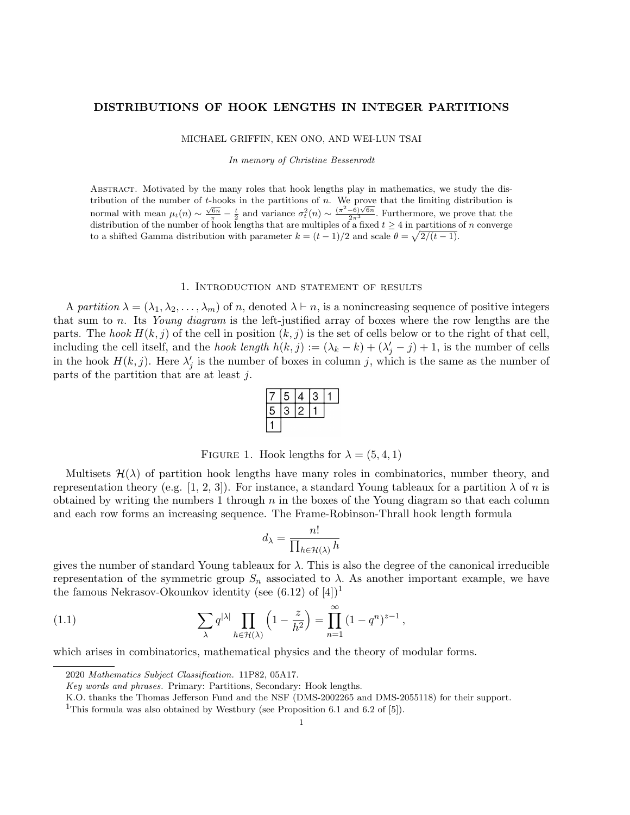## DISTRIBUTIONS OF HOOK LENGTHS IN INTEGER PARTITIONS

MICHAEL GRIFFIN, KEN ONO, AND WEI-LUN TSAI

In memory of Christine Bessenrodt

Abstract. Motivated by the many roles that hook lengths play in mathematics, we study the distribution of the number of t-hooks in the partitions of  $n$ . We prove that the limiting distribution is normal with mean  $\mu_t(n) \sim \frac{\sqrt{6n}}{\pi} - \frac{t}{2}$  and variance  $\sigma_t^2(n) \sim \frac{(\pi^2 - 6)\sqrt{6n}}{2\pi^3}$ . Furthermore, we prove that the distribution of the number of hook lengths that are multiples of a fixed  $t \geq 4$  in partitions of n converge to a shifted Gamma distribution with parameter  $k = (t-1)/2$  and scale  $\theta = \sqrt{2/(t-1)}$ .

## 1. Introduction and statement of results

A partition  $\lambda = (\lambda_1, \lambda_2, \dots, \lambda_m)$  of n, denoted  $\lambda \vdash n$ , is a nonincreasing sequence of positive integers that sum to n. Its Young diagram is the left-justified array of boxes where the row lengths are the parts. The hook  $H(k, j)$  of the cell in position  $(k, j)$  is the set of cells below or to the right of that cell, including the cell itself, and the *hook length*  $h(k, j) := (\lambda_k - k) + (\lambda'_j - j) + 1$ , is the number of cells in the hook  $H(k, j)$ . Here  $\lambda'_{j}$  is the number of boxes in column j, which is the same as the number of parts of the partition that are at least j.

|   | 5 | 4 | S |  |
|---|---|---|---|--|
| 5 | 9 |   |   |  |
|   |   |   |   |  |

FIGURE 1. Hook lengths for  $\lambda = (5, 4, 1)$ 

Multisets  $\mathcal{H}(\lambda)$  of partition hook lengths have many roles in combinatorics, number theory, and representation theory (e.g. [1, 2, 3]). For instance, a standard Young tableaux for a partition  $\lambda$  of n is obtained by writing the numbers 1 through  $n$  in the boxes of the Young diagram so that each column and each row forms an increasing sequence. The Frame-Robinson-Thrall hook length formula

$$
d_\lambda = \frac{n!}{\prod_{h \in \mathcal{H}(\lambda)} h}
$$

gives the number of standard Young tableaux for  $\lambda$ . This is also the degree of the canonical irreducible representation of the symmetric group  $S_n$  associated to  $\lambda$ . As another important example, we have the famous Nekrasov-Okounkov identity (see  $(6.12)$  of  $[4]$ )<sup>1</sup>

(1.1) 
$$
\sum_{\lambda} q^{|\lambda|} \prod_{h \in \mathcal{H}(\lambda)} \left(1 - \frac{z}{h^2}\right) = \prod_{n=1}^{\infty} (1 - q^n)^{z-1},
$$

which arises in combinatorics, mathematical physics and the theory of modular forms.

<sup>2020</sup> Mathematics Subject Classification. 11P82, 05A17.

Key words and phrases. Primary: Partitions, Secondary: Hook lengths.

K.O. thanks the Thomas Jefferson Fund and the NSF (DMS-2002265 and DMS-2055118) for their support.

<sup>&</sup>lt;sup>1</sup>This formula was also obtained by Westbury (see Proposition 6.1 and 6.2 of [5]).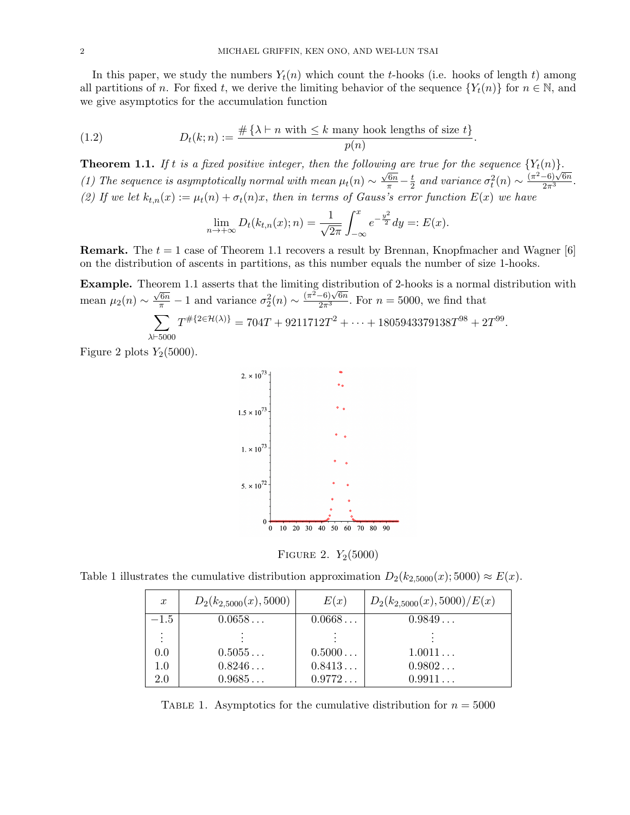In this paper, we study the numbers  $Y_t(n)$  which count the t-hooks (i.e. hooks of length t) among all partitions of n. For fixed t, we derive the limiting behavior of the sequence  ${Y_t(n)}$  for  $n \in \mathbb{N}$ , and we give asymptotics for the accumulation function

(1.2) 
$$
D_t(k; n) := \frac{\#\{\lambda \vdash n \text{ with } \leq k \text{ many hook lengths of size } t\}}{p(n)}.
$$

**Theorem 1.1.** If t is a fixed positive integer, then the following are true for the sequence  ${Y_t(n)}$ . (1) The sequence is asymptotically normal with mean  $\mu_t(n) \sim$  $\frac{\sqrt{6n}}{\pi} - \frac{t}{2}$  $\frac{t}{2}$  and variance  $\sigma_t^2(n) \sim \frac{(\pi^2-6)\sqrt{6n}}{2\pi^3}$ . (2) If we let  $k_{t,n}(x) := \mu_t(n) + \sigma_t(n)x$ , then in terms of Gauss's error function  $E(x)$  we have

$$
\lim_{n \to +\infty} D_t(k_{t,n}(x); n) = \frac{1}{\sqrt{2\pi}} \int_{-\infty}^x e^{-\frac{y^2}{2}} dy =: E(x).
$$

**Remark.** The  $t = 1$  case of Theorem 1.1 recovers a result by Brennan, Knopfmacher and Wagner [6] on the distribution of ascents in partitions, as this number equals the number of size 1-hooks.

Example. Theorem 1.1 asserts that the limiting distribution of 2-hooks is a normal distribution with mean  $\mu_2(n) \sim$  $\frac{\sqrt{6n}}{\pi} - 1$  and variance  $\sigma_2^2(n) \sim \frac{(\pi^2 - 6)\sqrt{6n}}{2\pi^3}$ . For  $n = 5000$ , we find that .

$$
\sum_{\lambda \vdash 5000} T^{\# \{2 \in \mathcal{H}(\lambda)\}} = 704T + 9211712T^2 + \dots + 1805943379138T^{98} + 2T^{99}
$$

Figure 2 plots  $Y_2(5000)$ .



FIGURE 2.  $Y_2(5000)$ 

Table 1 illustrates the cumulative distribution approximation  $D_2(k_{2,5000}(x); 5000) \approx E(x)$ .

| $\boldsymbol{x}$ | $D_2(k_{2,5000}(x), 5000)$ | E(x)   | $D_2(k_{2,5000}(x), 5000)/E(x)$ |
|------------------|----------------------------|--------|---------------------------------|
| $-1.5$           | $0.0658\ldots$             | 0.0668 | 0.9849                          |
|                  |                            |        |                                 |
| 0.0              | 0.5055                     | 0.5000 | 1.0011                          |
| $1.0\,$          | 0.8246                     | 0.8413 | 0.9802                          |
| 2.0              | 0.9685                     | 0.9772 | 0.9911                          |

TABLE 1. Asymptotics for the cumulative distribution for  $n = 5000$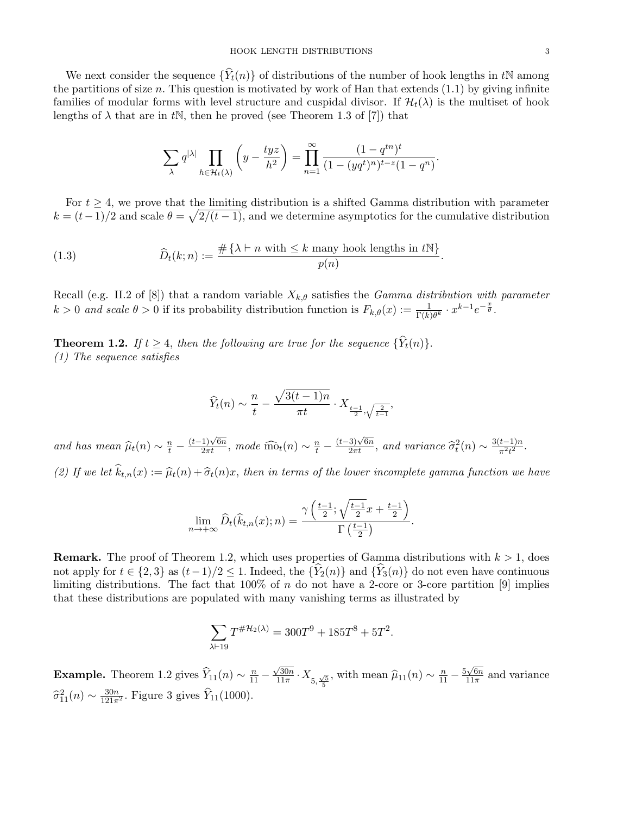We next consider the sequence  $\{\hat{Y}_t(n)\}\$  of distributions of the number of hook lengths in tN among the partitions of size n. This question is motivated by work of Han that extends  $(1.1)$  by giving infinite families of modular forms with level structure and cuspidal divisor. If  $\mathcal{H}_t(\lambda)$  is the multiset of hook lengths of  $\lambda$  that are in tN, then he proved (see Theorem 1.3 of [7]) that

$$
\sum_{\lambda} q^{|\lambda|} \prod_{h \in \mathcal{H}_t(\lambda)} \left( y - \frac{tyz}{h^2} \right) = \prod_{n=1}^{\infty} \frac{(1 - q^{tn})^t}{(1 - (yq^t)^n)^{t - z}(1 - q^n)}.
$$

For  $t \geq 4$ , we prove that the limiting distribution is a shifted Gamma distribution with parameter  $k = (t-1)/2$  and scale  $\theta = \sqrt{2/(t-1)}$ , and we determine asymptotics for the cumulative distribution

(1.3) 
$$
\widehat{D}_t(k;n) := \frac{\#\{\lambda \vdash n \text{ with } \leq k \text{ many hook lengths in } t\mathbb{N}\}}{p(n)}.
$$

Recall (e.g. II.2 of [8]) that a random variable  $X_{k,\theta}$  satisfies the *Gamma distribution with parameter*  $k > 0$  and scale  $\theta > 0$  if its probability distribution function is  $F_{k,\theta}(x) := \frac{1}{\Gamma(k)\theta^k} \cdot x^{k-1} e^{-\frac{x}{\theta}}$ .

**Theorem 1.2.** If  $t \geq 4$ , then the following are true for the sequence  $\{\hat{Y}_t(n)\}.$ (1) The sequence satisfies

$$
\widehat{Y}_t(n) \sim \frac{n}{t} - \frac{\sqrt{3(t-1)n}}{\pi t} \cdot X_{\frac{t-1}{2}, \sqrt{\frac{2}{t-1}}},
$$

and has mean  $\widehat{\mu}_t(n) \sim \frac{n}{t}$  –  $\frac{(t-1)\sqrt{6n}}{2\pi t}$ , mode  $\widehat{\text{mo}}_t(n) \sim \frac{n}{t}$  –  $\frac{(t-3)\sqrt{6n}}{2\pi t}$ , and variance  $\widehat{\sigma}_t^2(n) \sim \frac{3(t-1)n}{\pi^2 t^2}$  $rac{t-1}{\pi^2 t^2}$ . (2) If we let  $\hat{k}_{t,n}(x) := \hat{\mu}_t(n) + \hat{\sigma}_t(n)x$ , then in terms of the lower incomplete gamma function we have

$$
\lim_{n \to +\infty} \widehat{D}_t(\widehat{k}_{t,n}(x); n) = \frac{\gamma\left(\frac{t-1}{2}; \sqrt{\frac{t-1}{2}}x + \frac{t-1}{2}\right)}{\Gamma\left(\frac{t-1}{2}\right)}.
$$

**Remark.** The proof of Theorem 1.2, which uses properties of Gamma distributions with  $k > 1$ , does not apply for  $t \in \{2,3\}$  as  $(t-1)/2 \leq 1$ . Indeed, the  $\{\hat{Y}_2(n)\}\$  and  $\{\hat{Y}_3(n)\}\$  do not even have continuous limiting distributions. The fact that  $100\%$  of n do not have a 2-core or 3-core partition [9] implies that these distributions are populated with many vanishing terms as illustrated by

$$
\sum_{\lambda \vdash 19} T^{\# {\cal H}_2(\lambda)} = 300T^9 + 185T^8 + 5T^2.
$$

**Example.** Theorem 1.2 gives  $\hat{Y}_{11}(n) \sim \frac{n}{11} \sqrt{30n}$  $\frac{\sqrt{30n}}{11\pi} \cdot X_{5,\frac{\sqrt{5}}{5}}$ , with mean  $\hat{\mu}_{11}(n) \sim \frac{n}{11} - \frac{5\sqrt{6n}}{11\pi}$  $\frac{\sqrt{6n}}{11\pi}$  and variance  $\hat{\sigma}_{11}^2(n) \sim \frac{30n}{121\pi^2}$ . Figure 3 gives  $\hat{Y}_{11}(1000)$ .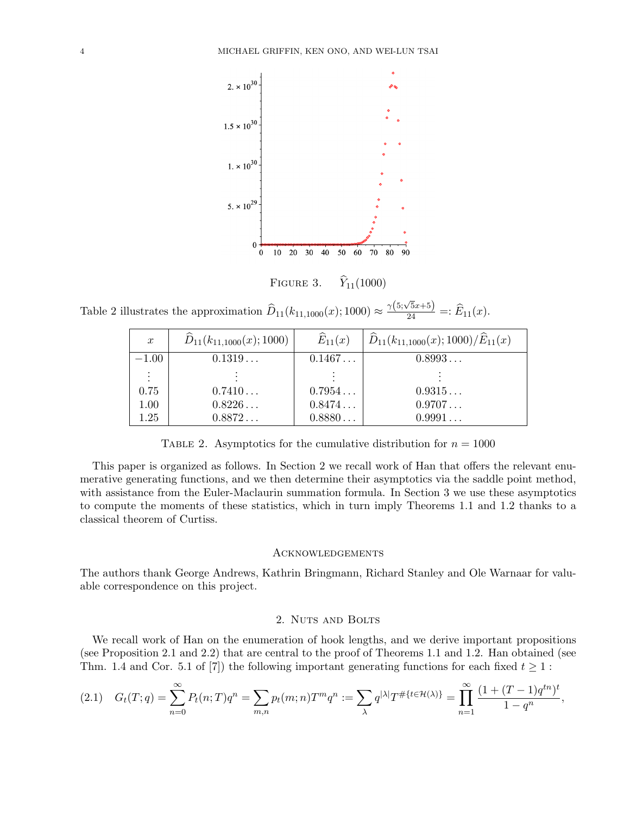

Table 2 illustrates the approximation  $D_{11}(k_{11,1000}(x); 1000) \approx$  $\frac{\gamma(5;\sqrt{5}x+5)}{24}$  =:  $\widehat{E}_{11}(x)$ .

| $\boldsymbol{x}$ | $\widehat{D}_{11}(k_{11,1000}(x);1000)$ | $\widehat{E}_{11}(x)$ | $\widehat{D}_{11}(k_{11,1000}(x);1000)/\widehat{E}_{11}(x)$ |
|------------------|-----------------------------------------|-----------------------|-------------------------------------------------------------|
| $-1.00$          | $0.1319\ldots$                          | 0.1467                | 0.8993                                                      |
| $\ddot{\cdot}$   |                                         |                       |                                                             |
| 0.75             | 0.7410                                  | 0.7954                | 0.9315                                                      |
| 1.00             | $0.8226\dots$                           | 0.8474                | 0.9707                                                      |
| 1.25             | 0.8872                                  | 0.8880                | 0.9991                                                      |

TABLE 2. Asymptotics for the cumulative distribution for  $n = 1000$ 

This paper is organized as follows. In Section 2 we recall work of Han that offers the relevant enumerative generating functions, and we then determine their asymptotics via the saddle point method, with assistance from the Euler-Maclaurin summation formula. In Section 3 we use these asymptotics to compute the moments of these statistics, which in turn imply Theorems 1.1 and 1.2 thanks to a classical theorem of Curtiss.

#### **ACKNOWLEDGEMENTS**

The authors thank George Andrews, Kathrin Bringmann, Richard Stanley and Ole Warnaar for valuable correspondence on this project.

# 2. NUTS AND BOLTS

We recall work of Han on the enumeration of hook lengths, and we derive important propositions (see Proposition 2.1 and 2.2) that are central to the proof of Theorems 1.1 and 1.2. Han obtained (see Thm. 1.4 and Cor. 5.1 of [7]) the following important generating functions for each fixed  $t \geq 1$ :

$$
(2.1) \quad G_t(T;q) = \sum_{n=0}^{\infty} P_t(n;T)q^n = \sum_{m,n} p_t(m;n)T^m q^n := \sum_{\lambda} q^{|\lambda|} T^{\# \{t \in \mathcal{H}(\lambda) \}} = \prod_{n=1}^{\infty} \frac{(1 + (T-1)q^{tn})^t}{1 - q^n},
$$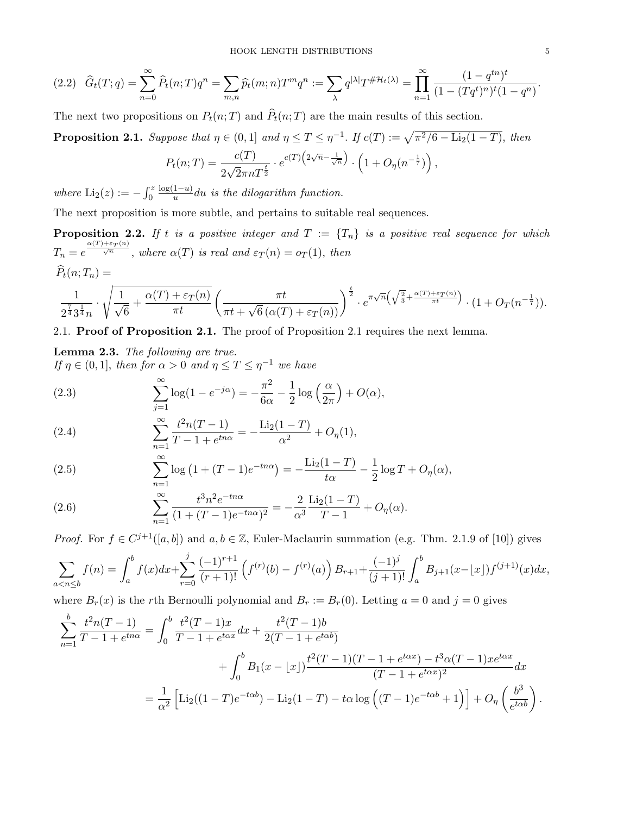$$
(2.2) \quad \widehat{G}_t(T;q) = \sum_{n=0}^{\infty} \widehat{P}_t(n;T)q^n = \sum_{m,n} \widehat{p}_t(m;n)T^m q^n := \sum_{\lambda} q^{|\lambda|} T^{\# \mathcal{H}_t(\lambda)} = \prod_{n=1}^{\infty} \frac{(1-q^{tn})^t}{(1-(Tq^t)^n)^t(1-q^n)}.
$$

The next two propositions on  $P_t(n; T)$  and  $\hat{P}_t(n; T)$  are the main results of this section.

**Proposition 2.1.** Suppose that  $\eta \in (0,1]$  and  $\eta \leq T \leq \eta^{-1}$ . If  $c(T) := \sqrt{\pi^2/6 - \text{Li}_2(1-T)}$ , then

$$
P_t(n;T) = \frac{c(T)}{2\sqrt{2}\pi n T^{\frac{t}{2}}} \cdot e^{c(T)\left(2\sqrt{n} - \frac{1}{\sqrt{n}}\right)} \cdot \left(1 + O_\eta(n^{-\frac{1}{7}})\right),
$$

where  $\text{Li}_2(z) := -\int_0^z$  $log(1-u)$  $\frac{1-u}{u}$ du is the dilogarithm function.

The next proposition is more subtle, and pertains to suitable real sequences.

**Proposition 2.2.** If t is a positive integer and  $T := \{T_n\}$  is a positive real sequence for which  $T_n = e^{\frac{\alpha(T) + \varepsilon_T(n)}{\sqrt{n}}}$ , where  $\alpha(T)$  is real and  $\varepsilon_T(n) = o_T(1)$ , then  $\widehat{P}_t(n; T_n) =$ 

$$
\frac{1}{2^{\frac{7}{4}}3^{\frac{1}{4}}n} \cdot \sqrt{\frac{1}{\sqrt{6}} + \frac{\alpha(T) + \varepsilon_T(n)}{\pi t}} \left(\frac{\pi t}{\pi t + \sqrt{6} (\alpha(T) + \varepsilon_T(n))}\right)^{\frac{t}{2}} \cdot e^{\pi \sqrt{n} \left(\sqrt{\frac{2}{3}} + \frac{\alpha(T) + \varepsilon_T(n)}{\pi t}\right)} \cdot (1 + O_T(n^{-\frac{1}{7}})).
$$

2.1. Proof of Proposition 2.1. The proof of Proposition 2.1 requires the next lemma.

Lemma 2.3. The following are true. If  $\eta \in (0,1]$ , then for  $\alpha > 0$  and  $\eta \leq T \leq \eta^{-1}$  we have

(2.3) 
$$
\sum_{j=1}^{\infty} \log(1 - e^{-j\alpha}) = -\frac{\pi^2}{6\alpha} - \frac{1}{2} \log\left(\frac{\alpha}{2\pi}\right) + O(\alpha),
$$

(2.4) 
$$
\sum_{n=1}^{\infty} \frac{t^2 n (T - 1)}{T - 1 + e^{tn\alpha}} = -\frac{\text{Li}_2(1 - T)}{\alpha^2} + O_{\eta}(1),
$$

(2.5) 
$$
\sum_{n=1}^{\infty} \log (1 + (T - 1)e^{-tn\alpha}) = -\frac{\text{Li}_2(1 - T)}{t\alpha} - \frac{1}{2}\log T + O_{\eta}(\alpha),
$$

(2.6) 
$$
\sum_{n=1}^{\infty} \frac{t^3 n^2 e^{-tn\alpha}}{(1 + (T - 1)e^{-tn\alpha})^2} = -\frac{2}{\alpha^3} \frac{\text{Li}_2(1 - T)}{T - 1} + O_\eta(\alpha).
$$

*Proof.* For  $f \in C^{j+1}([a, b])$  and  $a, b \in \mathbb{Z}$ , Euler-Maclaurin summation (e.g. Thm. 2.1.9 of [10]) gives

$$
\sum_{a < n \le b} f(n) = \int_a^b f(x) dx + \sum_{r=0}^j \frac{(-1)^{r+1}}{(r+1)!} \left( f^{(r)}(b) - f^{(r)}(a) \right) B_{r+1} + \frac{(-1)^j}{(j+1)!} \int_a^b B_{j+1}(x - \lfloor x \rfloor) f^{(j+1)}(x) dx,
$$

where  $B_r(x)$  is the rth Bernoulli polynomial and  $B_r := B_r(0)$ . Letting  $a = 0$  and  $j = 0$  gives

$$
\sum_{n=1}^{b} \frac{t^2 n(T-1)}{T-1+e^{tn\alpha}} = \int_0^b \frac{t^2 (T-1)x}{T-1+e^{t\alpha x}} dx + \frac{t^2 (T-1)b}{2(T-1+e^{t\alpha b})} \n+ \int_0^b B_1(x-\lfloor x \rfloor) \frac{t^2 (T-1)(T-1+e^{t\alpha x}) - t^3 \alpha (T-1)x e^{t\alpha x}}{(T-1+e^{t\alpha x})^2} dx \n= \frac{1}{\alpha^2} \left[ \text{Li}_2((1-T)e^{-t\alpha b}) - \text{Li}_2(1-T) - t\alpha \log \left( (T-1)e^{-t\alpha b} + 1 \right) \right] + O_\eta \left( \frac{b^3}{e^{t\alpha b}} \right).
$$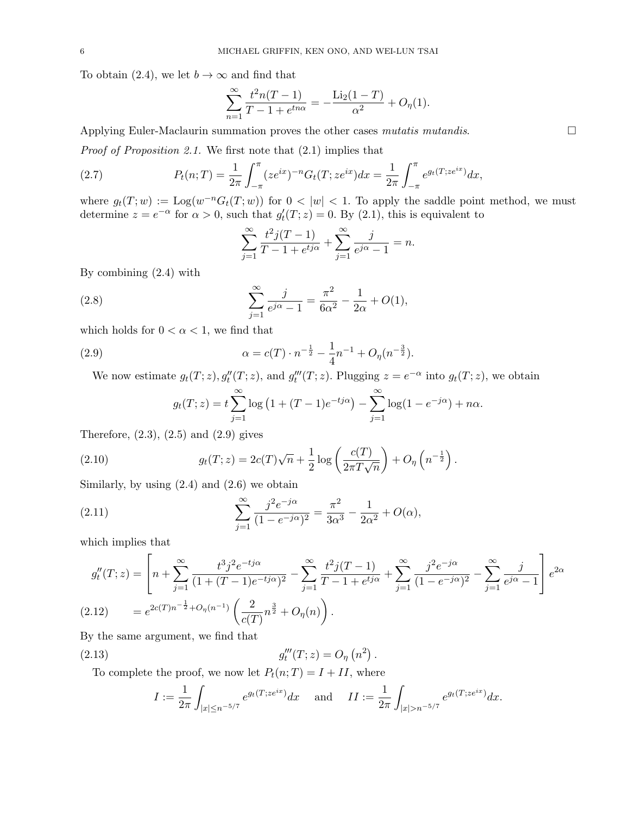To obtain (2.4), we let  $b \to \infty$  and find that

$$
\sum_{n=1}^{\infty} \frac{t^2 n(T-1)}{T-1 + e^{tn\alpha}} = -\frac{\text{Li}_2(1-T)}{\alpha^2} + O_{\eta}(1).
$$

Applying Euler-Maclaurin summation proves the other cases mutatis mutandis.  $\Box$ 

Proof of Proposition 2.1. We first note that (2.1) implies that

(2.7) 
$$
P_t(n;T) = \frac{1}{2\pi} \int_{-\pi}^{\pi} (ze^{ix})^{-n} G_t(T;ze^{ix}) dx = \frac{1}{2\pi} \int_{-\pi}^{\pi} e^{g_t(T;ze^{ix})} dx,
$$

where  $g_t(T; w) := \text{Log}(w^{-n} G_t(T; w))$  for  $0 < |w| < 1$ . To apply the saddle point method, we must determine  $z = e^{-\alpha}$  for  $\alpha > 0$ , such that  $g_t'(T; z) = 0$ . By (2.1), this is equivalent to

$$
\sum_{j=1}^{\infty} \frac{t^2 j(T-1)}{T-1 + e^{t j \alpha}} + \sum_{j=1}^{\infty} \frac{j}{e^{j \alpha} - 1} = n.
$$

By combining (2.4) with

(2.8) 
$$
\sum_{j=1}^{\infty} \frac{j}{e^{j\alpha} - 1} = \frac{\pi^2}{6\alpha^2} - \frac{1}{2\alpha} + O(1),
$$

which holds for  $0 < \alpha < 1$ , we find that

(2.9) 
$$
\alpha = c(T) \cdot n^{-\frac{1}{2}} - \frac{1}{4}n^{-1} + O_{\eta}(n^{-\frac{3}{2}}).
$$

We now estimate  $g_t(T; z)$ ,  $g''_t(T; z)$ , and  $g'''_t(T; z)$ . Plugging  $z = e^{-\alpha}$  into  $g_t(T; z)$ , we obtain

$$
g_t(T; z) = t \sum_{j=1}^{\infty} \log (1 + (T - 1)e^{-t j \alpha}) - \sum_{j=1}^{\infty} \log (1 - e^{-j \alpha}) + n \alpha.
$$

Therefore,  $(2.3)$ ,  $(2.5)$  and  $(2.9)$  gives

(2.10) 
$$
g_t(T; z) = 2c(T)\sqrt{n} + \frac{1}{2}\log\left(\frac{c(T)}{2\pi T\sqrt{n}}\right) + O_{\eta}\left(n^{-\frac{1}{2}}\right).
$$

Similarly, by using  $(2.4)$  and  $(2.6)$  we obtain

(2.11) 
$$
\sum_{j=1}^{\infty} \frac{j^2 e^{-j\alpha}}{(1 - e^{-j\alpha})^2} = \frac{\pi^2}{3\alpha^3} - \frac{1}{2\alpha^2} + O(\alpha),
$$

which implies that

$$
g''_t(T; z) = \left[ n + \sum_{j=1}^{\infty} \frac{t^3 j^2 e^{-t j \alpha}}{(1 + (T - 1)e^{-t j \alpha})^2} - \sum_{j=1}^{\infty} \frac{t^2 j (T - 1)}{T - 1 + e^{t j \alpha}} + \sum_{j=1}^{\infty} \frac{j^2 e^{-j \alpha}}{(1 - e^{-j \alpha})^2} - \sum_{j=1}^{\infty} \frac{j}{e^{j \alpha} - 1} \right] e^{2\alpha}
$$
  
(2.12) 
$$
= e^{2c(T)n^{-\frac{1}{2}} + O_{\eta}(n^{-1})} \left( \frac{2}{c(T)} n^{\frac{3}{2}} + O_{\eta}(n) \right).
$$

By the same argument, we find that

(2.13) 
$$
g_t'''(T; z) = O_\eta(n^2).
$$

To complete the proof, we now let  $P_t(n;T) = I + II$ , where

$$
I := \frac{1}{2\pi} \int_{|x| \le n^{-5/7}} e^{g_t(T; z e^{ix})} dx \quad \text{and} \quad II := \frac{1}{2\pi} \int_{|x| > n^{-5/7}} e^{g_t(T; z e^{ix})} dx.
$$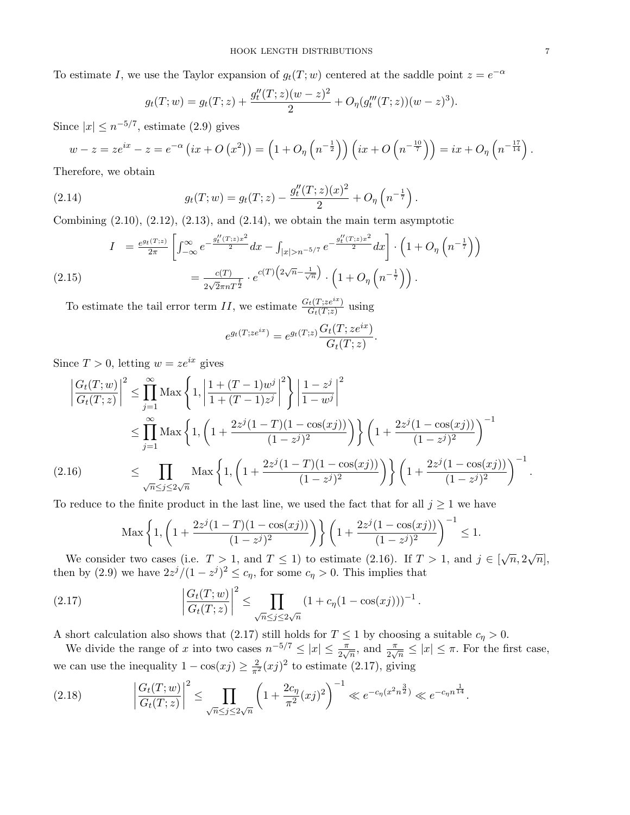To estimate I, we use the Taylor expansion of  $g_t(T; w)$  centered at the saddle point  $z = e^{-\alpha}$ 

$$
g_t(T; w) = g_t(T; z) + \frac{g_t''(T; z)(w - z)^2}{2} + O_{\eta}(g_t'''(T; z))(w - z)^3).
$$

Since  $|x| \leq n^{-5/7}$ , estimate (2.9) gives

$$
w-z=ze^{ix}-z=e^{-\alpha}\left(ix+O\left(x^2\right)\right)=\left(1+O_{\eta}\left(n^{-\frac{1}{2}}\right)\right)\left(ix+O\left(n^{-\frac{10}{7}}\right)\right)=ix+O_{\eta}\left(n^{-\frac{17}{14}}\right).
$$

Therefore, we obtain

(2.14) 
$$
g_t(T; w) = g_t(T; z) - \frac{g''_t(T; z)(x)^2}{2} + O_\eta\left(n^{-\frac{1}{7}}\right).
$$

Combining  $(2.10)$ ,  $(2.12)$ ,  $(2.13)$ , and  $(2.14)$ , we obtain the main term asymptotic

$$
I = \frac{e^{g_t(T;z)}}{2\pi} \left[ \int_{-\infty}^{\infty} e^{-\frac{g_t''(T;z)x^2}{2}} dx - \int_{|x|>n^{-5/7}} e^{-\frac{g_t''(T;z)x^2}{2}} dx \right] \cdot \left( 1 + O_\eta \left( n^{-\frac{1}{7}} \right) \right)
$$
  
(2.15)  

$$
= \frac{c(T)}{2\sqrt{2\pi n T^{\frac{t}{2}}}} \cdot e^{c(T) \left( 2\sqrt{n} - \frac{1}{\sqrt{n}} \right)} \cdot \left( 1 + O_\eta \left( n^{-\frac{1}{7}} \right) \right).
$$

To estimate the tail error term II, we estimate  $\frac{G_t(T;ze^{ix})}{G_t(T;z)}$  using

$$
e^{g_t(T;ze^{ix})}=e^{g_t(T;z)}\frac{G_t(T;ze^{ix})}{G_t(T;z)}.
$$

Since  $T > 0$ , letting  $w = ze^{ix}$  gives

$$
\left| \frac{G_t(T; w)}{G_t(T; z)} \right|^2 \le \prod_{j=1}^{\infty} \text{Max} \left\{ 1, \left| \frac{1 + (T - 1)w^j}{1 + (T - 1)z^j} \right|^2 \right\} \left| \frac{1 - z^j}{1 - w^j} \right|^2
$$
  
\n
$$
\le \prod_{j=1}^{\infty} \text{Max} \left\{ 1, \left( 1 + \frac{2z^j(1 - T)(1 - \cos(xj))}{(1 - z^j)^2} \right) \right\} \left( 1 + \frac{2z^j(1 - \cos(xj))}{(1 - z^j)^2} \right)^{-1}
$$
  
\n(2.16) 
$$
\le \prod_{\sqrt{n} \le j \le 2\sqrt{n}} \text{Max} \left\{ 1, \left( 1 + \frac{2z^j(1 - T)(1 - \cos(xj))}{(1 - z^j)^2} \right) \right\} \left( 1 + \frac{2z^j(1 - \cos(xj))}{(1 - z^j)^2} \right)^{-1}.
$$

To reduce to the finite product in the last line, we used the fact that for all  $j \geq 1$  we have

$$
\text{Max}\left\{1, \left(1 + \frac{2z^j(1-T)(1-\cos(xj))}{(1-z^j)^2}\right)\right\} \left(1 + \frac{2z^j(1-\cos(xj))}{(1-z^j)^2}\right)^{-1} \le 1.
$$

We consider two cases (i.e.  $T > 1$ , and  $T \le 1$ ) to estimate (2.16). If  $T > 1$ , and  $j \in [\sqrt{n}, 2\sqrt{n}]$ , then by (2.9) we have  $2z^{j}/(1-z^{j})^{2} \leq c_{\eta}$ , for some  $c_{\eta} > 0$ . This implies that

(2.17) 
$$
\left|\frac{G_t(T; w)}{G_t(T; z)}\right|^2 \leq \prod_{\sqrt{n} \leq j \leq 2\sqrt{n}} (1 + c_\eta (1 - \cos(xj)))^{-1}.
$$

A short calculation also shows that (2.17) still holds for  $T \leq 1$  by choosing a suitable  $c_{\eta} > 0$ .

We divide the range of x into two cases  $n^{-5/7} \le |x| \le \frac{\pi}{2\sqrt{n}}$ , and  $\frac{\pi}{2\sqrt{n}} \le |x| \le \pi$ . For the first case, we can use the inequality  $1 - \cos(xj) \geq \frac{2}{\pi^2} (xj)^2$  to estimate (2.17), giving

$$
(2.18) \qquad \left|\frac{G_t(T;w)}{G_t(T;z)}\right|^2 \le \prod_{\sqrt{n}\le j\le 2\sqrt{n}} \left(1 + \frac{2c_\eta}{\pi^2}(xj)^2\right)^{-1} \ll e^{-c_\eta(x^2 n^{\frac{3}{2}})} \ll e^{-c_\eta n^{\frac{1}{14}}}.
$$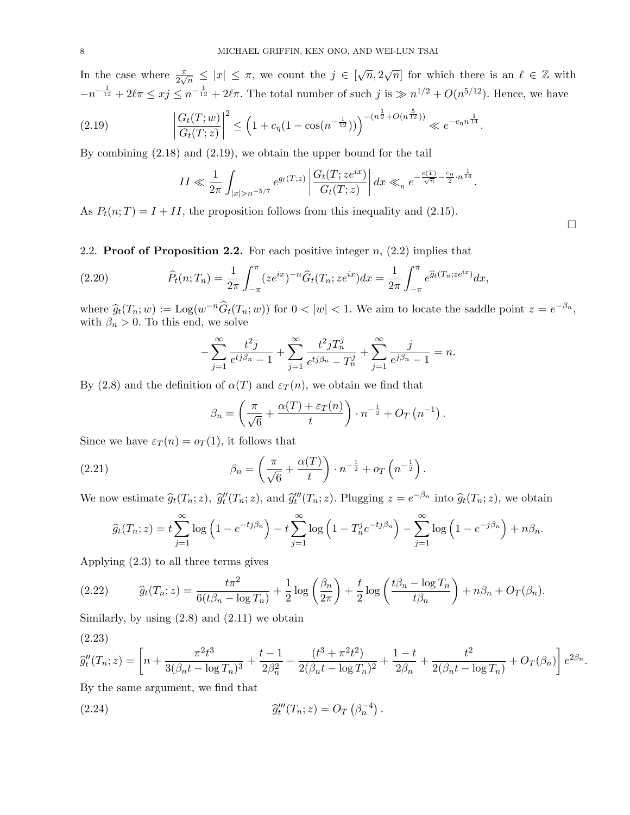In the case where  $\frac{\pi}{2\sqrt{n}} \leq |x| \leq \pi$ , we count the  $j \in [\sqrt{n}, 2\sqrt{n}]$  for which there is an  $\ell \in \mathbb{Z}$  with  $-n^{-\frac{1}{12}}+2\ell\pi \leq xj \leq n^{-\frac{1}{12}}+2\ell\pi$ . The total number of such  $j$  is  $\gg n^{1/2}+O(n^{5/12})$ . Hence, we have

$$
(2.19) \qquad \left|\frac{G_t(T;w)}{G_t(T;z)}\right|^2 \le \left(1 + c_\eta(1 - \cos(n^{-\frac{1}{12}}))\right)^{-(n^{\frac{1}{2}} + O(n^{\frac{5}{12}}))} \ll e^{-c_\eta n^{\frac{1}{14}}}.
$$

By combining (2.18) and (2.19), we obtain the upper bound for the tail

$$
II \ll \frac{1}{2\pi} \int_{|x|>n^{-5/7}} e^{g_t(T;z)} \left| \frac{G_t(T;ze^{ix})}{G_t(T;z)} \right| dx \ll_\eta e^{-\frac{c(T)}{\sqrt{n}} - \frac{c_\eta}{2} \cdot n^{\frac{1}{14}}}.
$$

As  $P_t(n;T) = I + II$ , the proposition follows from this inequality and (2.15).

2.2. **Proof of Proposition 2.2.** For each positive integer  $n$ ,  $(2.2)$  implies that

(2.20) 
$$
\widehat{P}_t(n;T_n) = \frac{1}{2\pi} \int_{-\pi}^{\pi} (ze^{ix})^{-n} \widehat{G}_t(T_n;ze^{ix}) dx = \frac{1}{2\pi} \int_{-\pi}^{\pi} e^{\widehat{g}_t(T_n;ze^{ix})} dx,
$$

where  $\widehat{g}_t(T_n; w) := \text{Log}(w^{-n}\widehat{G}_t(T_n; w))$  for  $0 < |w| < 1$ . We aim to locate the saddle point  $z = e^{-\beta_n}$ , with  $\beta_n > 0$ . To this end, we solve

$$
-\sum_{j=1}^{\infty} \frac{t^2 j}{e^{t j \beta_n} - 1} + \sum_{j=1}^{\infty} \frac{t^2 j T_n^j}{e^{t j \beta_n} - T_n^j} + \sum_{j=1}^{\infty} \frac{j}{e^{j \beta_n} - 1} = n.
$$

By (2.8) and the definition of  $\alpha(T)$  and  $\varepsilon_T(n)$ , we obtain we find that

$$
\beta_n = \left(\frac{\pi}{\sqrt{6}} + \frac{\alpha(T) + \varepsilon_T(n)}{t}\right) \cdot n^{-\frac{1}{2}} + O_T\left(n^{-1}\right).
$$

Since we have  $\varepsilon_T(n) = o_T(1)$ , it follows that

(2.21) 
$$
\beta_n = \left(\frac{\pi}{\sqrt{6}} + \frac{\alpha(T)}{t}\right) \cdot n^{-\frac{1}{2}} + o_T\left(n^{-\frac{1}{2}}\right).
$$

We now estimate  $\widehat{g}_t(T_n; z)$ ,  $\widehat{g}_t''(T_n; z)$ , and  $\widehat{g}_t''(T_n; z)$ . Plugging  $z = e^{-\beta_n}$  into  $\widehat{g}_t(T_n; z)$ , we obtain

$$
\widehat{g}_t(T_n; z) = t \sum_{j=1}^{\infty} \log \left( 1 - e^{-t j \beta_n} \right) - t \sum_{j=1}^{\infty} \log \left( 1 - T_n^j e^{-t j \beta_n} \right) - \sum_{j=1}^{\infty} \log \left( 1 - e^{-j \beta_n} \right) + n \beta_n.
$$

Applying (2.3) to all three terms gives

$$
(2.22) \qquad \widehat{g}_t(T_n; z) = \frac{t\pi^2}{6(t\beta_n - \log T_n)} + \frac{1}{2}\log\left(\frac{\beta_n}{2\pi}\right) + \frac{t}{2}\log\left(\frac{t\beta_n - \log T_n}{t\beta_n}\right) + n\beta_n + O_T(\beta_n).
$$

Similarly, by using  $(2.8)$  and  $(2.11)$  we obtain

$$
(2.23)
$$

$$
\widehat{g}_t''(T_n; z) = \left[ n + \frac{\pi^2 t^3}{3(\beta_n t - \log T_n)^3} + \frac{t - 1}{2\beta_n^2} - \frac{(t^3 + \pi^2 t^2)}{2(\beta_n t - \log T_n)^2} + \frac{1 - t}{2\beta_n} + \frac{t^2}{2(\beta_n t - \log T_n)} + O_T(\beta_n) \right] e^{2\beta_n}.
$$

.

By the same argument, we find that

(2.24) 
$$
\widehat{g}_t'''(T_n; z) = O_T\left(\beta_n^{-4}\right)
$$

□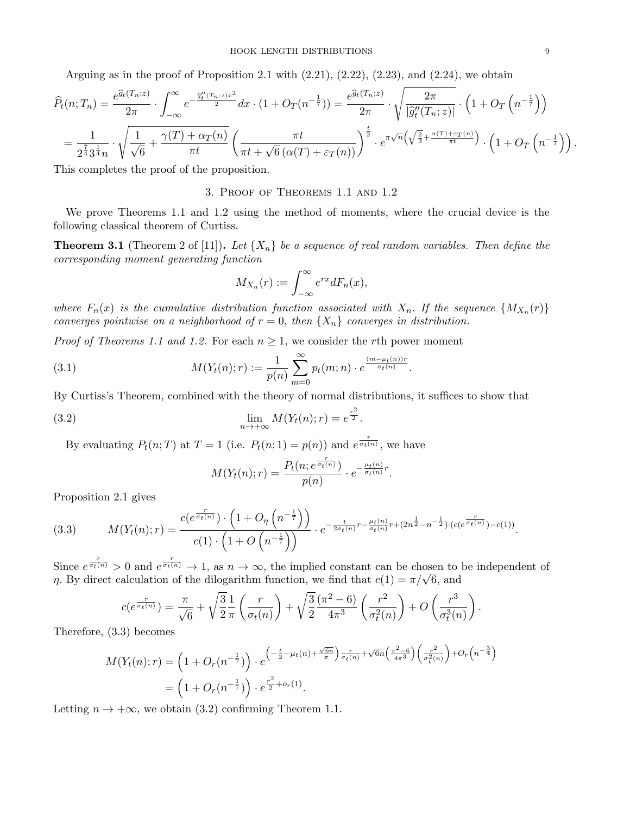Arguing as in the proof of Proposition 2.1 with  $(2.21)$ ,  $(2.22)$ ,  $(2.23)$ , and  $(2.24)$ , we obtain

$$
\widehat{P}_t(n;T_n) = \frac{e^{\widehat{g}_t(T_n;z)}}{2\pi} \cdot \int_{-\infty}^{\infty} e^{-\frac{\widehat{g}_t''(T_n;z)x^2}{2}} dx \cdot (1+O_T(n^{-\frac{1}{7}})) = \frac{e^{\widehat{g}_t(T_n;z)}}{2\pi} \cdot \sqrt{\frac{2\pi}{|\widehat{g}_t''(T_n;z)|}} \cdot (1+O_T(n^{-\frac{1}{7}}))
$$
\n
$$
= \frac{1}{2^{\frac{7}{4}} 3^{\frac{1}{4}} n} \cdot \sqrt{\frac{1}{\sqrt{6}} + \frac{\gamma(T) + \alpha_T(n)}{\pi t}} \left(\frac{\pi t}{\pi t + \sqrt{6} (\alpha(T) + \varepsilon_T(n))}\right)^{\frac{t}{2}} \cdot e^{\pi \sqrt{n} \left(\sqrt{\frac{2}{3}} + \frac{\alpha(T) + \varepsilon_T(n)}{\pi t}\right)} \cdot \left(1+O_T\left(n^{-\frac{1}{7}}\right)\right).
$$

This completes the proof of the proposition.

# 3. Proof of Theorems 1.1 and 1.2

We prove Theorems 1.1 and 1.2 using the method of moments, where the crucial device is the following classical theorem of Curtiss.

**Theorem 3.1** (Theorem 2 of [11]). Let  $\{X_n\}$  be a sequence of real random variables. Then define the corresponding moment generating function

$$
M_{X_n}(r) := \int_{-\infty}^{\infty} e^{rx} dF_n(x),
$$

where  $F_n(x)$  is the cumulative distribution function associated with  $X_n$ . If the sequence  $\{M_{X_n}(r)\}$ converges pointwise on a neighborhood of  $r = 0$ , then  $\{X_n\}$  converges in distribution.

*Proof of Theorems 1.1 and 1.2.* For each  $n \geq 1$ , we consider the rth power moment

(3.1) 
$$
M(Y_t(n);r) := \frac{1}{p(n)} \sum_{m=0}^{\infty} p_t(m;n) \cdot e^{\frac{(m-\mu_t(n))r}{\sigma_t(n)}}.
$$

By Curtiss's Theorem, combined with the theory of normal distributions, it suffices to show that

(3.2) 
$$
\lim_{n \to +\infty} M(Y_t(n); r) = e^{\frac{r^2}{2}}.
$$

By evaluating  $P_t(n;T)$  at  $T=1$  (i.e.  $P_t(n;1)=p(n)$ ) and  $e^{\frac{r}{\sigma_t(n)}}$ , we have

$$
M(Y_t(n);r) = \frac{P_t(n; e^{\frac{r}{\sigma_t(n)}})}{p(n)} \cdot e^{-\frac{\mu_t(n)}{\sigma_t(n)}}^r.
$$

Proposition 2.1 gives

$$
(3.3) \qquad M(Y_t(n);r) = \frac{c(e^{\frac{r}{\sigma_t(n)}}) \cdot \left(1 + O_\eta\left(n^{-\frac{1}{7}}\right)\right)}{c(1) \cdot \left(1 + O\left(n^{-\frac{1}{7}}\right)\right)} \cdot e^{-\frac{t}{2\sigma_t(n)}r - \frac{\mu_t(n)}{\sigma_t(n)}r + (2n^{\frac{1}{2}} - n^{-\frac{1}{2}}) \cdot (c(e^{\frac{r}{\sigma_t(n)}}) - c(1))}.
$$

Since  $e^{\frac{r}{\sigma_t(n)}} > 0$  and  $e^{\frac{r}{\sigma_t(n)}} \to 1$ , as  $n \to \infty$ , the implied constant can be chosen to be independent of Since  $e^{\sigma_t(n)} > 0$  and  $e^{\sigma_t(n)} \to 1$ , as  $n \to \infty$ , the implied constant can be chosen to  $\eta$ . By direct calculation of the dilogarithm function, we find that  $c(1) = \pi/\sqrt{6}$ , and

$$
c(e^{\frac{r}{\sigma_t(n)}}) = \frac{\pi}{\sqrt{6}} + \sqrt{\frac{3}{2}} \frac{1}{\pi} \left(\frac{r}{\sigma_t(n)}\right) + \sqrt{\frac{3}{2}} \frac{(\pi^2 - 6)}{4\pi^3} \left(\frac{r^2}{\sigma_t^2(n)}\right) + O\left(\frac{r^3}{\sigma_t^3(n)}\right).
$$

Therefore, (3.3) becomes

$$
M(Y_t(n);r) = \left(1 + O_r(n^{-\frac{1}{7}})\right) \cdot e^{\left(-\frac{t}{2} - \mu_t(n) + \frac{\sqrt{6n}}{\pi}\right) \frac{r}{\sigma_t(n)} + \sqrt{6n}\left(\frac{\pi^2 - 6}{4\pi^3}\right)\left(\frac{r^2}{\sigma_t^2(n)}\right) + O_r(n^{-\frac{3}{4}})}
$$
  
=  $\left(1 + O_r(n^{-\frac{1}{7}})\right) \cdot e^{\frac{r^2}{2} + o_r(1)}$ .

Letting  $n \to +\infty$ , we obtain (3.2) confirming Theorem 1.1.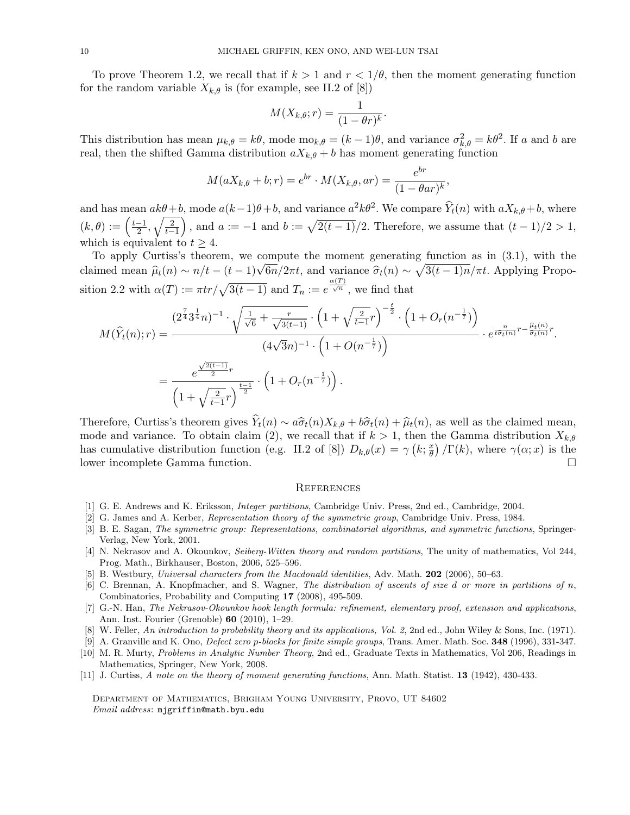To prove Theorem 1.2, we recall that if  $k > 1$  and  $r < 1/\theta$ , then the moment generating function for the random variable  $X_{k,\theta}$  is (for example, see II.2 of [8])

$$
M(X_{k,\theta};r) = \frac{1}{(1 - \theta r)^k}
$$

.

This distribution has mean  $\mu_{k,\theta} = k\theta$ , mode mo<sub>k, $\theta = (k-1)\theta$ </sub>, and variance  $\sigma_{k,\theta}^2 = k\theta^2$ . If a and b are real, then the shifted Gamma distribution  $aX_{k,\theta} + b$  has moment generating function

$$
M(aX_{k,\theta} + b; r) = e^{br} \cdot M(X_{k,\theta}, ar) = \frac{e^{br}}{(1 - \theta ar)^k},
$$

and has mean  $ak\theta+b$ , mode  $a(k-1)\theta+b$ , and variance  $a^2k\theta^2$ . We compare  $\hat{Y}_t(n)$  with  $aX_{k,\theta}+b$ , where  $(k, \theta) := \left(\frac{t-1}{2}\right)$  $\frac{(-1)}{2}, \sqrt{\frac{2}{t-1}}$ , and  $a := -1$  and  $b := \sqrt{2(t-1)}/2$ . Therefore, we assume that  $(t-1)/2 > 1$ , which is equivalent to  $t > 4$ .

To apply Curtiss's theorem, we compute the moment generating function as in (3.1), with the To apply Curtiss's theorem, we compute the moment generating function as in (5.1), with the claimed mean  $\hat{\mu}_t(n) \sim n/t - (t-1)\sqrt{6n}/2\pi t$ , and variance  $\hat{\sigma}_t(n) \sim \sqrt{3(t-1)n}/\pi t$ . Applying Proposition 2.2 with  $\alpha(T) := \pi t r / \sqrt{3(t-1)}$  and  $T_n := e^{\frac{\alpha(T)}{\sqrt{n}}}$ , we find that

$$
M(\widehat{Y}_t(n);r) = \frac{(2^{\frac{7}{4}} 3^{\frac{1}{4}} n)^{-1} \cdot \sqrt{\frac{1}{\sqrt{6}} + \frac{r}{\sqrt{3(t-1)}}} \cdot \left(1 + \sqrt{\frac{2}{t-1}} r\right)^{-\frac{t}{2}} \cdot \left(1 + O_r(n^{-\frac{1}{7}})\right)}{(4\sqrt{3}n)^{-1} \cdot \left(1 + O(n^{-\frac{1}{7}})\right)} \cdot e^{\frac{n}{t \widehat{\sigma}_t(n)}} r^{-\frac{\widehat{\mu}_t(n)}{\widehat{\sigma}_t(n)}} r}.
$$
  
= 
$$
\frac{e^{\frac{\sqrt{2(t-1)}}{2}r}}{\left(1 + \sqrt{\frac{2}{t-1}} r\right)^{\frac{t-1}{2}}} \cdot \left(1 + O_r(n^{-\frac{1}{7}})\right).
$$

Therefore, Curtiss's theorem gives  $\hat{Y}_t(n) \sim a\hat{\sigma}_t(n)X_{k,\theta} + b\hat{\sigma}_t(n) + \hat{\mu}_t(n)$ , as well as the claimed mean, mode and variance. To obtain claim (2), we recall that if  $k > 1$ , then the Gamma distribution  $X_{k,\theta}$ has cumulative distribution function (e.g. II.2 of [8])  $D_{k,\theta}(x) = \gamma \left( k; \frac{x}{\theta} \right)$  $\left(\frac{x}{\theta}\right)/\Gamma(k)$ , where  $\gamma(\alpha; x)$  is the lower incomplete Gamma function. □

#### **REFERENCES**

- [1] G. E. Andrews and K. Eriksson, Integer partitions, Cambridge Univ. Press, 2nd ed., Cambridge, 2004.
- [2] G. James and A. Kerber, Representation theory of the symmetric group, Cambridge Univ. Press, 1984.
- [3] B. E. Sagan, The symmetric group: Representations, combinatorial algorithms, and symmetric functions, Springer-Verlag, New York, 2001.
- [4] N. Nekrasov and A. Okounkov, Seiberg-Witten theory and random partitions, The unity of mathematics, Vol 244, Prog. Math., Birkhauser, Boston, 2006, 525–596.
- [5] B. Westbury, Universal characters from the Macdonald identities, Adv. Math. **202** (2006), 50–63.
- [6] C. Brennan, A. Knopfmacher, and S. Wagner, The distribution of ascents of size d or more in partitions of  $n$ , Combinatorics, Probability and Computing 17 (2008), 495-509.
- [7] G.-N. Han, The Nekrasov-Okounkov hook length formula: refinement, elementary proof, extension and applications, Ann. Inst. Fourier (Grenoble) 60 (2010), 1–29.
- [8] W. Feller, An introduction to probability theory and its applications, Vol. 2, 2nd ed., John Wiley & Sons, Inc. (1971).
- [9] A. Granville and K. Ono, *Defect zero p-blocks for finite simple groups*, Trans. Amer. Math. Soc. **348** (1996), 331-347.
- [10] M. R. Murty, Problems in Analytic Number Theory, 2nd ed., Graduate Texts in Mathematics, Vol 206, Readings in Mathematics, Springer, New York, 2008.
- [11] J. Curtiss, A note on the theory of moment generating functions, Ann. Math. Statist. 13 (1942), 430-433.

Department of Mathematics, Brigham Young University, Provo, UT 84602 Email address: mjgriffin@math.byu.edu